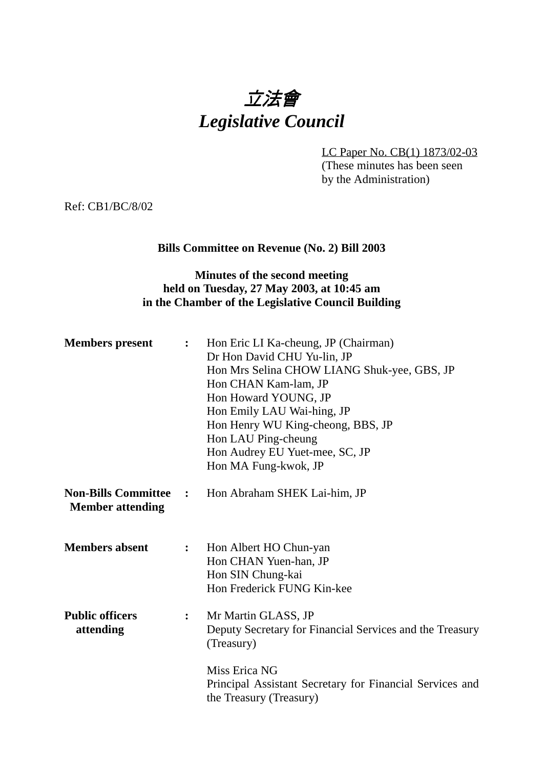# 立法會 *Legislative Council*

LC Paper No. CB(1) 1873/02-03 (These minutes has been seen by the Administration)

Ref: CB1/BC/8/02

#### **Bills Committee on Revenue (No. 2) Bill 2003**

# **Minutes of the second meeting held on Tuesday, 27 May 2003, at 10:45 am in the Chamber of the Legislative Council Building**

| <b>Members</b> present                                | $\ddot{\cdot}$   | Hon Eric LI Ka-cheung, JP (Chairman)<br>Dr Hon David CHU Yu-lin, JP<br>Hon Mrs Selina CHOW LIANG Shuk-yee, GBS, JP<br>Hon CHAN Kam-lam, JP<br>Hon Howard YOUNG, JP<br>Hon Emily LAU Wai-hing, JP<br>Hon Henry WU King-cheong, BBS, JP<br>Hon LAU Ping-cheung<br>Hon Audrey EU Yuet-mee, SC, JP<br>Hon MA Fung-kwok, JP |
|-------------------------------------------------------|------------------|------------------------------------------------------------------------------------------------------------------------------------------------------------------------------------------------------------------------------------------------------------------------------------------------------------------------|
| <b>Non-Bills Committee</b><br><b>Member attending</b> | $\mathbf{L}$     | Hon Abraham SHEK Lai-him, JP                                                                                                                                                                                                                                                                                           |
| <b>Members absent</b>                                 | $\ddot{\bullet}$ | Hon Albert HO Chun-yan<br>Hon CHAN Yuen-han, JP<br>Hon SIN Chung-kai<br>Hon Frederick FUNG Kin-kee                                                                                                                                                                                                                     |
| <b>Public officers</b><br>attending                   | $\ddot{\bullet}$ | Mr Martin GLASS, JP<br>Deputy Secretary for Financial Services and the Treasury<br>(Treasury)                                                                                                                                                                                                                          |
|                                                       |                  | Miss Erica NG<br>Principal Assistant Secretary for Financial Services and<br>the Treasury (Treasury)                                                                                                                                                                                                                   |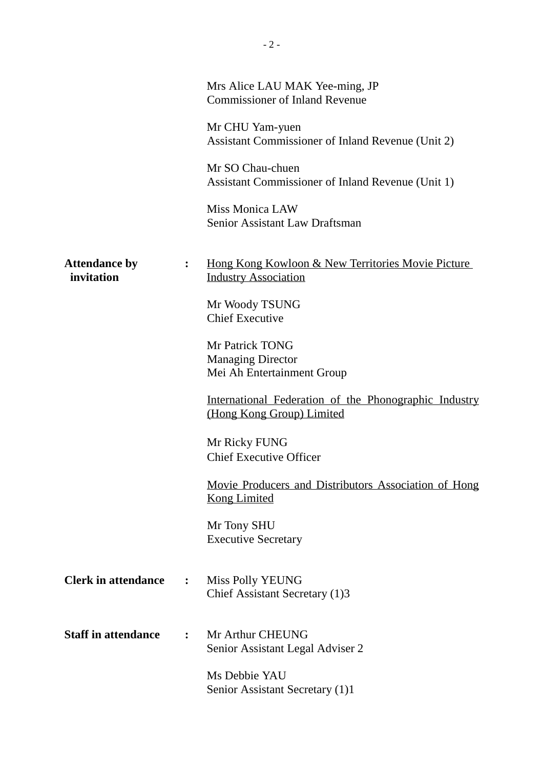|                                    |                | Mrs Alice LAU MAK Yee-ming, JP<br><b>Commissioner of Inland Revenue</b>                     |
|------------------------------------|----------------|---------------------------------------------------------------------------------------------|
|                                    |                | Mr CHU Yam-yuen<br>Assistant Commissioner of Inland Revenue (Unit 2)                        |
|                                    |                | Mr SO Chau-chuen<br>Assistant Commissioner of Inland Revenue (Unit 1)                       |
|                                    |                | <b>Miss Monica LAW</b><br><b>Senior Assistant Law Draftsman</b>                             |
| <b>Attendance by</b><br>invitation | $\ddot{\cdot}$ | <u>Hong Kong Kowloon &amp; New Territories Movie Picture</u><br><b>Industry Association</b> |
|                                    |                | Mr Woody TSUNG<br><b>Chief Executive</b>                                                    |
|                                    |                | Mr Patrick TONG<br><b>Managing Director</b><br>Mei Ah Entertainment Group                   |
|                                    |                | International Federation of the Phonographic Industry<br>(Hong Kong Group) Limited          |
|                                    |                | Mr Ricky FUNG<br><b>Chief Executive Officer</b>                                             |
|                                    |                | Movie Producers and Distributors Association of Hong<br><b>Kong Limited</b>                 |
|                                    |                | Mr Tony SHU<br><b>Executive Secretary</b>                                                   |
| <b>Clerk in attendance</b>         | $\ddot{\cdot}$ | Miss Polly YEUNG<br>Chief Assistant Secretary (1)3                                          |
| <b>Staff in attendance</b>         | $\ddot{\cdot}$ | Mr Arthur CHEUNG<br>Senior Assistant Legal Adviser 2                                        |
|                                    |                | Ms Debbie YAU<br>Senior Assistant Secretary (1)1                                            |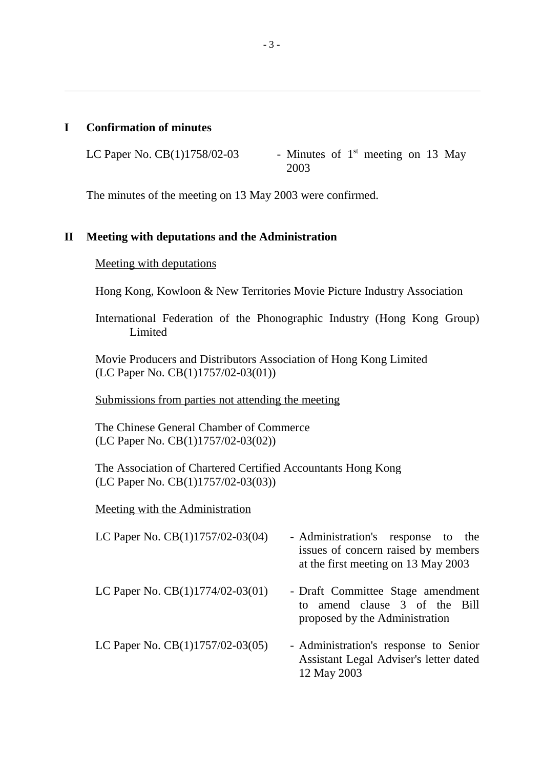#### **I Confirmation of minutes**

ı

LC Paper No. CB(1)1758/02-03 - Minutes of  $1<sup>st</sup>$  meeting on 13 May 2003

The minutes of the meeting on 13 May 2003 were confirmed.

#### **II Meeting with deputations and the Administration**

Meeting with deputations

Hong Kong, Kowloon & New Territories Movie Picture Industry Association

International Federation of the Phonographic Industry (Hong Kong Group) Limited

Movie Producers and Distributors Association of Hong Kong Limited (LC Paper No. CB(1)1757/02-03(01))

Submissions from parties not attending the meeting

The Chinese General Chamber of Commerce (LC Paper No. CB(1)1757/02-03(02))

The Association of Chartered Certified Accountants Hong Kong (LC Paper No. CB(1)1757/02-03(03))

Meeting with the Administration

| LC Paper No. CB(1)1757/02-03(04)   | - Administration's response to the<br>issues of concern raised by members<br>at the first meeting on 13 May 2003 |
|------------------------------------|------------------------------------------------------------------------------------------------------------------|
| LC Paper No. $CB(1)1774/02-03(01)$ | - Draft Committee Stage amendment<br>to amend clause 3 of the Bill<br>proposed by the Administration             |
| LC Paper No. $CB(1)1757/02-03(05)$ | - Administration's response to Senior<br>Assistant Legal Adviser's letter dated<br>12 May 2003                   |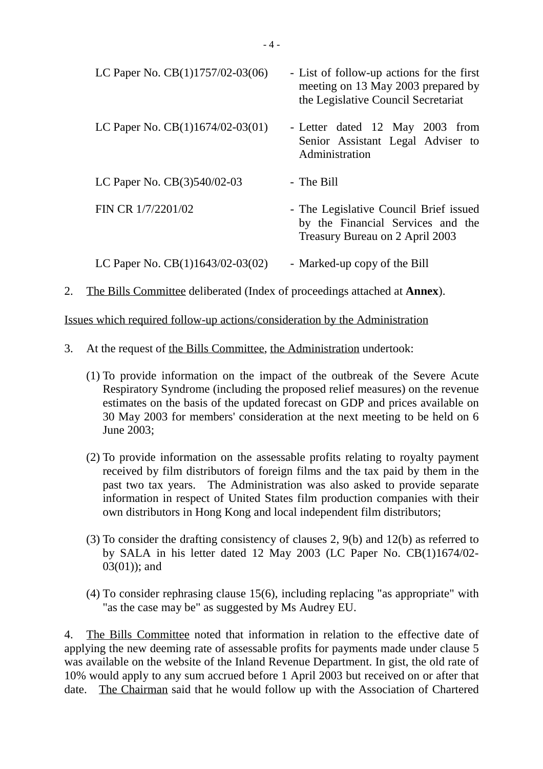| LC Paper No. $CB(1)1757/02-03(06)$ | - List of follow-up actions for the first<br>meeting on 13 May 2003 prepared by<br>the Legislative Council Secretariat |  |
|------------------------------------|------------------------------------------------------------------------------------------------------------------------|--|
| LC Paper No. $CB(1)1674/02-03(01)$ | - Letter dated 12 May 2003 from<br>Senior Assistant Legal Adviser to<br>Administration                                 |  |
| LC Paper No. CB(3)540/02-03        | - The Bill                                                                                                             |  |
| FIN CR 1/7/2201/02                 | - The Legislative Council Brief issued<br>by the Financial Services and the<br>Treasury Bureau on 2 April 2003         |  |
| LC Paper No. $CB(1)1643/02-03(02)$ | - Marked-up copy of the Bill                                                                                           |  |

2. The Bills Committee deliberated (Index of proceedings attached at **Annex**).

Issues which required follow-up actions/consideration by the Administration

- 3. At the request of the Bills Committee, the Administration undertook:
	- (1) To provide information on the impact of the outbreak of the Severe Acute Respiratory Syndrome (including the proposed relief measures) on the revenue estimates on the basis of the updated forecast on GDP and prices available on 30 May 2003 for members' consideration at the next meeting to be held on 6 June 2003;
	- (2) To provide information on the assessable profits relating to royalty payment received by film distributors of foreign films and the tax paid by them in the past two tax years. The Administration was also asked to provide separate information in respect of United States film production companies with their own distributors in Hong Kong and local independent film distributors;
	- (3) To consider the drafting consistency of clauses 2, 9(b) and 12(b) as referred to by SALA in his letter dated 12 May 2003 (LC Paper No. CB(1)1674/02- 03(01)); and
	- (4) To consider rephrasing clause 15(6), including replacing "as appropriate" with "as the case may be" as suggested by Ms Audrey EU.

4. The Bills Committee noted that information in relation to the effective date of applying the new deeming rate of assessable profits for payments made under clause 5 was available on the website of the Inland Revenue Department. In gist, the old rate of 10% would apply to any sum accrued before 1 April 2003 but received on or after that date. The Chairman said that he would follow up with the Association of Chartered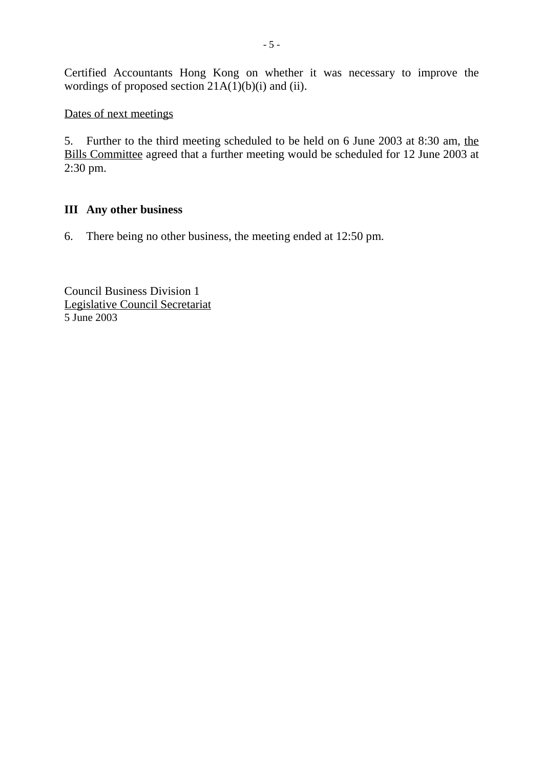Certified Accountants Hong Kong on whether it was necessary to improve the wordings of proposed section  $21A(1)(b)(i)$  and (ii).

## Dates of next meetings

5. Further to the third meeting scheduled to be held on 6 June 2003 at 8:30 am, the Bills Committee agreed that a further meeting would be scheduled for 12 June 2003 at 2:30 pm.

# **III Any other business**

6. There being no other business, the meeting ended at 12:50 pm.

Council Business Division 1 Legislative Council Secretariat 5 June 2003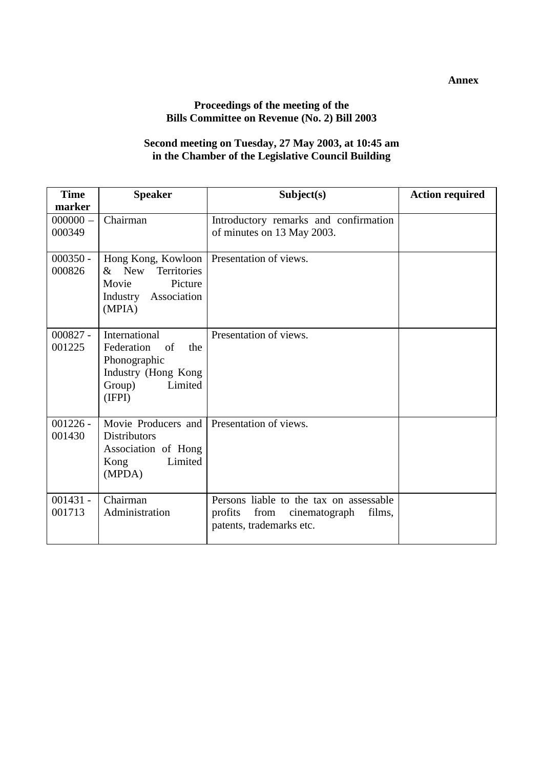#### **Annex**

# **Proceedings of the meeting of the Bills Committee on Revenue (No. 2) Bill 2003**

### **Second meeting on Tuesday, 27 May 2003, at 10:45 am in the Chamber of the Legislative Council Building**

| <b>Time</b>                    | <b>Speaker</b>                                                                                                        | Subject(s)                                                                                                        | <b>Action required</b> |
|--------------------------------|-----------------------------------------------------------------------------------------------------------------------|-------------------------------------------------------------------------------------------------------------------|------------------------|
| marker<br>$000000 -$<br>000349 | Chairman                                                                                                              | Introductory remarks and confirmation<br>of minutes on 13 May 2003.                                               |                        |
| $000350 -$<br>000826           | $&$ New<br><b>Territories</b><br>Picture<br>Movie<br>Industry Association<br>(MPIA)                                   | Hong Kong, Kowloon   Presentation of views.                                                                       |                        |
| $000827 -$<br>001225           | International<br>Federation<br>of<br>the<br>Phonographic<br>Industry (Hong Kong<br>Group)<br>Limited<br>(IFPI)        | Presentation of views.                                                                                            |                        |
| $001226 -$<br>001430           | Movie Producers and Presentation of views.<br><b>Distributors</b><br>Association of Hong<br>Limited<br>Kong<br>(MPDA) |                                                                                                                   |                        |
| $001431 -$<br>001713           | Chairman<br>Administration                                                                                            | Persons liable to the tax on assessable<br>profits<br>from<br>films,<br>cinematograph<br>patents, trademarks etc. |                        |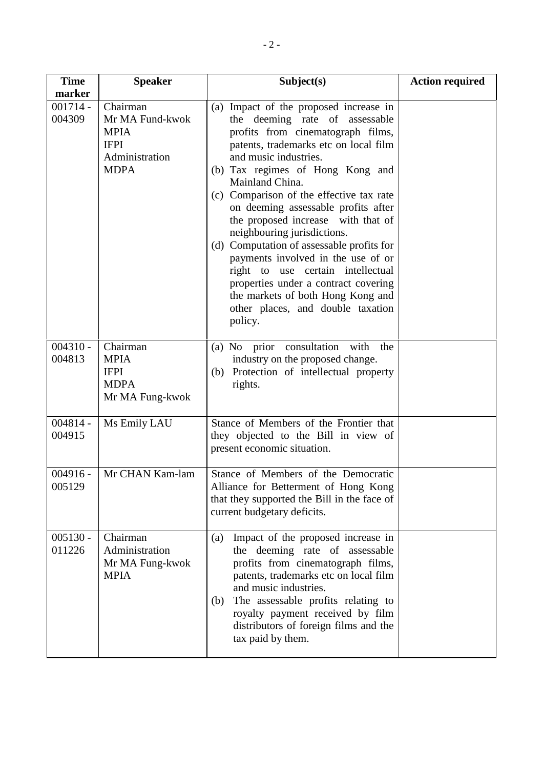| <b>Time</b><br>marker | <b>Speaker</b>                                                                             | Subject(s)                                                                                                                                                                                                                                                                                                                                                                                                                                                                                                                                                                                                                                          | <b>Action required</b> |
|-----------------------|--------------------------------------------------------------------------------------------|-----------------------------------------------------------------------------------------------------------------------------------------------------------------------------------------------------------------------------------------------------------------------------------------------------------------------------------------------------------------------------------------------------------------------------------------------------------------------------------------------------------------------------------------------------------------------------------------------------------------------------------------------------|------------------------|
| $001714 -$<br>004309  | Chairman<br>Mr MA Fund-kwok<br><b>MPIA</b><br><b>IFPI</b><br>Administration<br><b>MDPA</b> | (a) Impact of the proposed increase in<br>the deeming rate of assessable<br>profits from cinematograph films,<br>patents, trademarks etc on local film<br>and music industries.<br>(b) Tax regimes of Hong Kong and<br>Mainland China.<br>(c) Comparison of the effective tax rate<br>on deeming assessable profits after<br>the proposed increase with that of<br>neighbouring jurisdictions.<br>(d) Computation of assessable profits for<br>payments involved in the use of or<br>right to use certain intellectual<br>properties under a contract covering<br>the markets of both Hong Kong and<br>other places, and double taxation<br>policy. |                        |
| $004310 -$<br>004813  | Chairman<br><b>MPIA</b><br><b>IFPI</b><br><b>MDPA</b><br>Mr MA Fung-kwok                   | (a) No prior consultation<br>with<br>the<br>industry on the proposed change.<br>Protection of intellectual property<br>(b)<br>rights.                                                                                                                                                                                                                                                                                                                                                                                                                                                                                                               |                        |
| $004814 -$<br>004915  | Ms Emily LAU                                                                               | Stance of Members of the Frontier that<br>they objected to the Bill in view of<br>present economic situation.                                                                                                                                                                                                                                                                                                                                                                                                                                                                                                                                       |                        |
| $004916 -$<br>005129  | Mr CHAN Kam-lam                                                                            | Stance of Members of the Democratic<br>Alliance for Betterment of Hong Kong<br>that they supported the Bill in the face of<br>current budgetary deficits.                                                                                                                                                                                                                                                                                                                                                                                                                                                                                           |                        |
| $005130 -$<br>011226  | Chairman<br>Administration<br>Mr MA Fung-kwok<br><b>MPIA</b>                               | Impact of the proposed increase in<br>(a)<br>the deeming rate of assessable<br>profits from cinematograph films,<br>patents, trademarks etc on local film<br>and music industries.<br>The assessable profits relating to<br>(b)<br>royalty payment received by film<br>distributors of foreign films and the<br>tax paid by them.                                                                                                                                                                                                                                                                                                                   |                        |